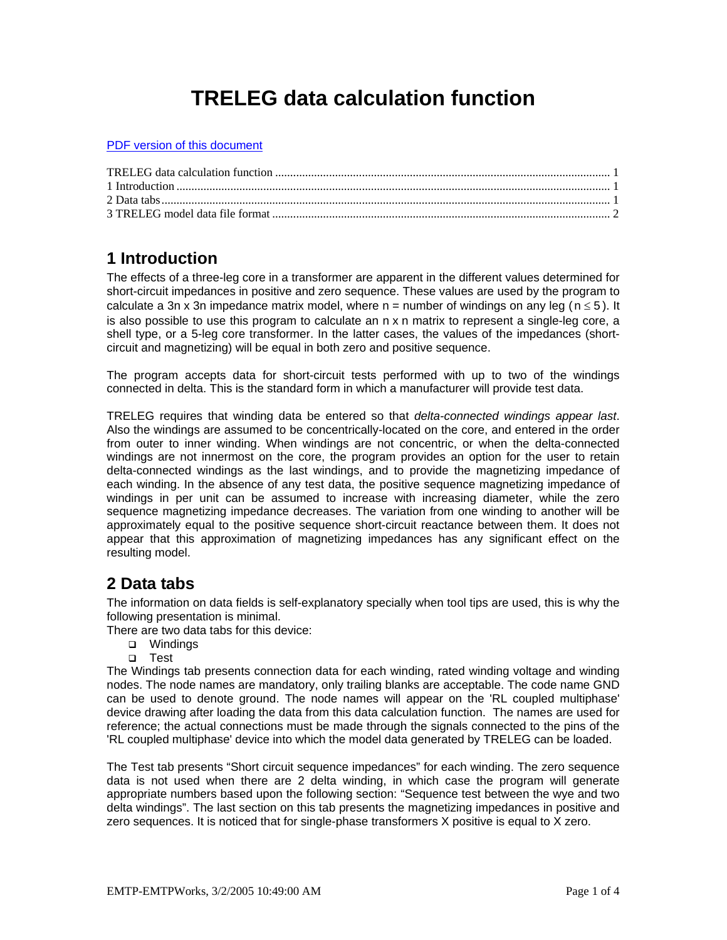# **TRELEG data calculation function**

<span id="page-0-0"></span>PDF version of this document

### **1 Introduction**

The effects of a three-leg core in a transformer are apparent in the different values determined for short-circuit impedances in positive and zero sequence. These values are used by the program to calculate a 3n x 3n impedance matrix model, where  $n =$  number of windings on any leg ( $n \le 5$ ). It is also possible to use this program to calculate an n x n matrix to represent a single-leg core, a shell type, or a 5-leg core transformer. In the latter cases, the values of the impedances (shortcircuit and magnetizing) will be equal in both zero and positive sequence.

The program accepts data for short-circuit tests performed with up to two of the windings connected in delta. This is the standard form in which a manufacturer will provide test data.

TRELEG requires that winding data be entered so that *delta-connected windings appear last*. Also the windings are assumed to be concentrically-located on the core, and entered in the order from outer to inner winding. When windings are not concentric, or when the delta-connected windings are not innermost on the core, the program provides an option for the user to retain delta-connected windings as the last windings, and to provide the magnetizing impedance of each winding. In the absence of any test data, the positive sequence magnetizing impedance of windings in per unit can be assumed to increase with increasing diameter, while the zero sequence magnetizing impedance decreases. The variation from one winding to another will be approximately equal to the positive sequence short-circuit reactance between them. It does not appear that this approximation of magnetizing impedances has any significant effect on the resulting model.

# **2 Data tabs**

The information on data fields is self-explanatory specially when tool tips are used, this is why the following presentation is minimal.

There are two data tabs for this device:

- **D** Windings
- Test

The Windings tab presents connection data for each winding, rated winding voltage and winding nodes. The node names are mandatory, only trailing blanks are acceptable. The code name GND can be used to denote ground. The node names will appear on the 'RL coupled multiphase' device drawing after loading the data from this data calculation function. The names are used for reference; the actual connections must be made through the signals connected to the pins of the 'RL coupled multiphase' device into which the model data generated by TRELEG can be loaded.

The Test tab presents "Short circuit sequence impedances" for each winding. The zero sequence data is not used when there are 2 delta winding, in which case the program will generate appropriate numbers based upon the following section: "Sequence test between the wye and two delta windings". The last section on this tab presents the magnetizing impedances in positive and zero sequences. It is noticed that for single-phase transformers X positive is equal to X zero.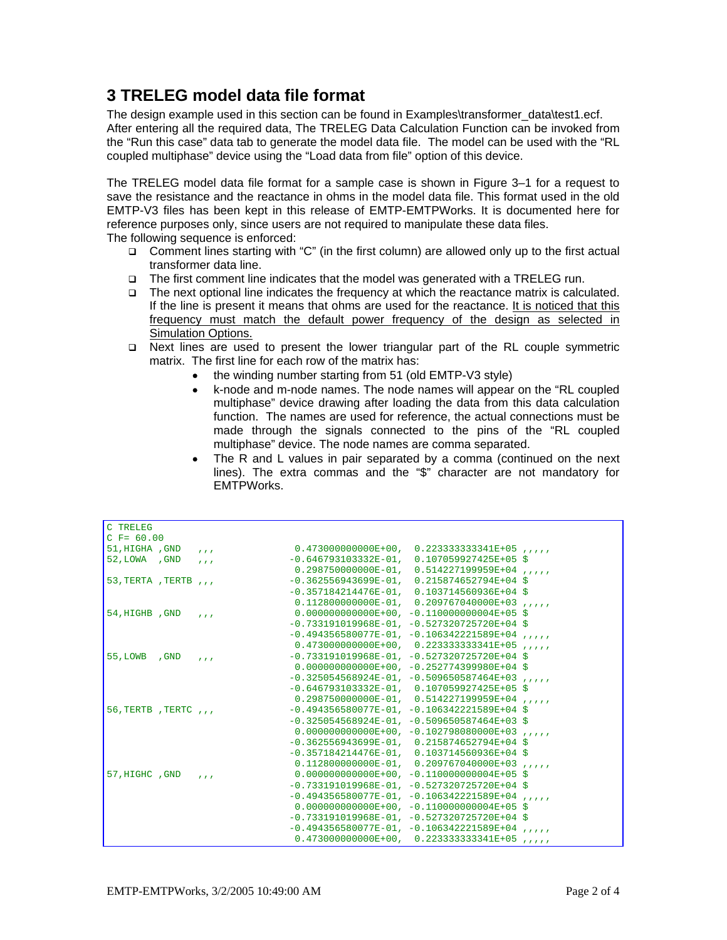## <span id="page-1-0"></span>**3 TRELEG model data file format**

The design example used in this section can be found in Examples\transformer\_data\test1.ecf. After entering all the required data, The TRELEG Data Calculation Function can be invoked from the "Run this case" data tab to generate the model data file. The model can be used with the "RL coupled multiphase" device using the "Load data from file" option of this device.

The TRELEG model data file format for a sample case is shown in [Figure 3–1](#page-2-0) for a request to save the resistance and the reactance in ohms in the model data file. This format used in the old EMTP-V3 files has been kept in this release of EMTP-EMTPWorks. It is documented here for reference purposes only, since users are not required to manipulate these data files. The following sequence is enforced:

- $\Box$  Comment lines starting with "C" (in the first column) are allowed only up to the first actual transformer data line.
- The first comment line indicates that the model was generated with a TRELEG run.
- $\Box$  The next optional line indicates the frequency at which the reactance matrix is calculated. If the line is present it means that ohms are used for the reactance. It is noticed that this frequency must match the default power frequency of the design as selected in **Simulation Options.**
- Next lines are used to present the lower triangular part of the RL couple symmetric matrix. The first line for each row of the matrix has:
	- the winding number starting from 51 (old EMTP-V3 style)
	- k-node and m-node names. The node names will appear on the "RL coupled multiphase" device drawing after loading the data from this data calculation function. The names are used for reference, the actual connections must be made through the signals connected to the pins of the "RL coupled multiphase" device. The node names are comma separated.
	- The R and L values in pair separated by a comma (continued on the next lines). The extra commas and the "\$" character are not mandatory for EMTPWorks.

| C TRELEG                               |                                                                                                                                                                                                                                                                                                                                                                                                                                                                                                                             |
|----------------------------------------|-----------------------------------------------------------------------------------------------------------------------------------------------------------------------------------------------------------------------------------------------------------------------------------------------------------------------------------------------------------------------------------------------------------------------------------------------------------------------------------------------------------------------------|
| $C$ F= 60.00                           |                                                                                                                                                                                                                                                                                                                                                                                                                                                                                                                             |
| 51, HIGHA , GND<br>$\mathbf{r}$        | $0.473000000000E+00, 0.22333333341E+05$                                                                                                                                                                                                                                                                                                                                                                                                                                                                                     |
| 52, LOWA , GND<br>$\sim$ $\sim$ $\sim$ | $-0.646793103332E-01, 0.107059927425E+05$ \$                                                                                                                                                                                                                                                                                                                                                                                                                                                                                |
|                                        | $0.298750000000E-01, 0.514227199959E+04,$                                                                                                                                                                                                                                                                                                                                                                                                                                                                                   |
| 53, TERTA, TERTB, $\mu$                | $-0.362556943699E-01, 0.215874652794E+04$ \$                                                                                                                                                                                                                                                                                                                                                                                                                                                                                |
|                                        | $-0.357184214476E-01$ , $0.103714560936E+04$ \$                                                                                                                                                                                                                                                                                                                                                                                                                                                                             |
|                                        | $0.112800000000E-01, 0.209767040000E+03, ,$                                                                                                                                                                                                                                                                                                                                                                                                                                                                                 |
| 54, HIGHB, GND<br>$\sim$ $\sim$ $\sim$ | $0.0000000000000E+00$ , $-0.110000000004E+05$ \$                                                                                                                                                                                                                                                                                                                                                                                                                                                                            |
|                                        | $-0.733191019968E-01, -0.527320725720E+04$ \$                                                                                                                                                                                                                                                                                                                                                                                                                                                                               |
|                                        | $-0.494356580077E-01, -0.106342221589E+04$<br>$\mathbf{r}$                                                                                                                                                                                                                                                                                                                                                                                                                                                                  |
|                                        | $0.473000000000E+00, 0.22333333341E+05,$                                                                                                                                                                                                                                                                                                                                                                                                                                                                                    |
| 55, LOWB , GND<br>$\sim$ $\sim$ $\sim$ | $-0.733191019968E-01, -0.527320725720E+04$ \$                                                                                                                                                                                                                                                                                                                                                                                                                                                                               |
|                                        | $0.000000000000E+00, -0.252774399980E+04$ \$                                                                                                                                                                                                                                                                                                                                                                                                                                                                                |
|                                        | $-0.325054568924E-01, -0.509650587464E+03$<br>$\mathbf{r}$ and $\mathbf{r}$                                                                                                                                                                                                                                                                                                                                                                                                                                                 |
|                                        | $-0.646793103332E-01, 0.107059927425E+05$ \$                                                                                                                                                                                                                                                                                                                                                                                                                                                                                |
|                                        | $0.298750000000E-01, 0.514227199959E+04, ,$                                                                                                                                                                                                                                                                                                                                                                                                                                                                                 |
| 56, TERTB, TERTC, $\mu$                | $-0.494356580077E-01, -0.106342221589E+04$ \$                                                                                                                                                                                                                                                                                                                                                                                                                                                                               |
|                                        | $-0.325054568924E-01, -0.509650587464E+03$ \$                                                                                                                                                                                                                                                                                                                                                                                                                                                                               |
|                                        | $0.000000000000E+00, -0.102798080000E+03$<br>$\mathbf{r}$                                                                                                                                                                                                                                                                                                                                                                                                                                                                   |
|                                        | $-0.362556943699E-01, 0.215874652794E+04$ \$                                                                                                                                                                                                                                                                                                                                                                                                                                                                                |
|                                        | $-0.357184214476E-01$ , $0.103714560936E+04$ \$                                                                                                                                                                                                                                                                                                                                                                                                                                                                             |
|                                        | $0.112800000000E-01, 0.209767040000E+03$ ,,,,,                                                                                                                                                                                                                                                                                                                                                                                                                                                                              |
| 57, HIGHC , GND<br>1.1.1               | $0.0000000000000E+00$ , -0.110000000004E+05 \$                                                                                                                                                                                                                                                                                                                                                                                                                                                                              |
|                                        | $-0.733191019968E-01, -0.527320725720E+04$ \$                                                                                                                                                                                                                                                                                                                                                                                                                                                                               |
|                                        | $-0.494356580077E-01, -0.106342221589E+04, ,$                                                                                                                                                                                                                                                                                                                                                                                                                                                                               |
|                                        | $0.0000000000000E+00, -0.110000000004E+05$ \$                                                                                                                                                                                                                                                                                                                                                                                                                                                                               |
|                                        | $-0.733191019968E-01, -0.527320725720E+04$ \$                                                                                                                                                                                                                                                                                                                                                                                                                                                                               |
|                                        | $-0.494356580077E-01, -0.106342221589E+04, ,$                                                                                                                                                                                                                                                                                                                                                                                                                                                                               |
|                                        | $0.473000000000E+00, 0.22333333341E+05$<br>$\mathcal{L}^{\prime}(\mathcal{L}^{\prime},\mathcal{L}^{\prime},\mathcal{L}^{\prime},\mathcal{L}^{\prime},\mathcal{L}^{\prime},\mathcal{L}^{\prime},\mathcal{L}^{\prime},\mathcal{L}^{\prime},\mathcal{L}^{\prime},\mathcal{L}^{\prime},\mathcal{L}^{\prime},\mathcal{L}^{\prime},\mathcal{L}^{\prime},\mathcal{L}^{\prime},\mathcal{L}^{\prime},\mathcal{L}^{\prime},\mathcal{L}^{\prime},\mathcal{L}^{\prime},\mathcal{L}^{\prime},\mathcal{L}^{\prime},\mathcal{L}^{\prime},$ |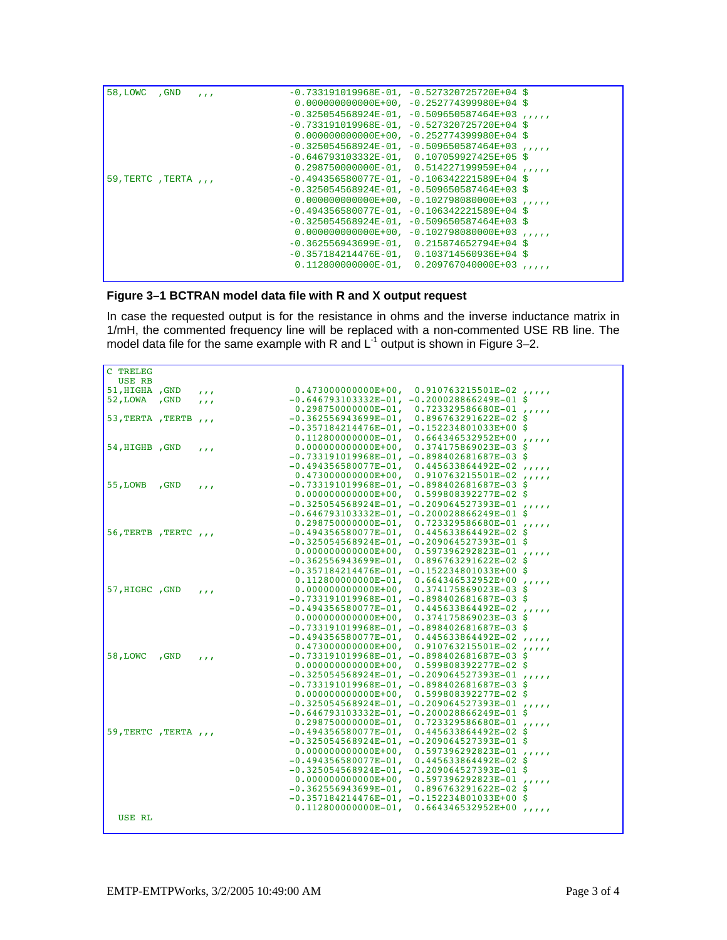| 58, LOWC , GND          | $\mathbf{r}$ | $-0.733191019968E-01, -0.527320725720E+04$ \$    |                                              |  |
|-------------------------|--------------|--------------------------------------------------|----------------------------------------------|--|
|                         |              | $0.000000000000E+00, -0.252774399980E+04$ \$     |                                              |  |
|                         |              | $-0.325054568924E-01, -0.509650587464E+03$ ,     |                                              |  |
|                         |              | $-0.733191019968E-01, -0.527320725720E+04$ \$    |                                              |  |
|                         |              | $0.000000000000E+00.252774399980E+04.$           |                                              |  |
|                         |              | $-0.325054568924E-01, -0.509650587464E+03$       |                                              |  |
|                         |              | $-0.646793103332E-01, 0.107059927425E+05$ \$     |                                              |  |
|                         |              | $0.298750000000E-01, 0.514227199959E+04$         |                                              |  |
| 59, TERTC, TERTA, $\mu$ |              | $-0.494356580077E-01, -0.106342221589E+04$ \$    |                                              |  |
|                         |              | $-0.325054568924E-01$ , $-0.509650587464E+03$ \$ |                                              |  |
|                         |              |                                                  | $0.0000000000000E+00, -0.102798080000E+03$ , |  |
|                         |              | $-0.494356580077E-01, -0.106342221589E+04$ \$    |                                              |  |
|                         |              | $-0.325054568924E-01, -0.509650587464E+03$ \$    |                                              |  |
|                         |              | $0.0000000000000E+00, -0.102798080000E+03$       |                                              |  |
|                         |              | $-0.362556943699E-01, 0.215874652794E+04$ \$     |                                              |  |
|                         |              | $-0.357184214476E-01$ , $0.103714560936E+04$ \$  |                                              |  |
|                         |              |                                                  | $0.112800000000E-01, 0.209767040000E+03, ,$  |  |
|                         |              |                                                  |                                              |  |

#### <span id="page-2-0"></span>**Figure 3–1 BCTRAN model data file with R and X output request**

In case the requested output is for the resistance in ohms and the inverse inductance matrix in 1/mH, the commented frequency line will be replaced with a non-commented USE RB line. The model data file for the same example with R and  $L^1$  output is shown in [Figure 3–2.](#page-3-0)

| C TRELEG                |              |                                                 |                                              |  |
|-------------------------|--------------|-------------------------------------------------|----------------------------------------------|--|
| USE RB                  |              |                                                 |                                              |  |
| 51, HIGHA , GND         | 1.1.1        |                                                 | $0.4730000000000E+00, 0.910763215501E-02$    |  |
| 52, LOWA , GND          | 1.1.1        | $-0.646793103332E-01, -0.200028866249E-01$ \$   |                                              |  |
|                         |              | $0.298750000000E-01, 0.723329586680E-01,$       |                                              |  |
| 53, TERTA, TERTB        | $\mathbf{r}$ | $-0.362556943699E-01, 0.896763291622E-02$ \$    |                                              |  |
|                         |              | $-0.357184214476E-01, -0.152234801033E+00$ \$   |                                              |  |
|                         |              |                                                 | $0.112800000000E-01, 0.664346532952E+00, ,$  |  |
| 54, HIGHB , GND         | 111          |                                                 | $0.000000000000E+00, 0.374175869023E-03$ \$  |  |
|                         |              | $-0.733191019968E-01, -0.898402681687E-03$ \$   |                                              |  |
|                         |              | $-0.494356580077E-01, 0.445633864492E-02, ,$    |                                              |  |
|                         |              | $0.4730000000000E+00, 0.910763215501E-02, ,$    |                                              |  |
| 55, LOWB , GND          | 1.1.1        | $-0.733191019968E-01, -0.898402681687E-03$ \$   |                                              |  |
|                         |              | $0.0000000000000E+00$ , $0.599808392277E-02$ \$ |                                              |  |
|                         |              | $-0.325054568924E-01, -0.209064527393E-01, ,$   |                                              |  |
|                         |              | $-0.646793103332E-01, -0.200028866249E-01$ \$   |                                              |  |
|                         |              | $0.298750000000E-01, 0.723329586680E-01,$       |                                              |  |
| 56, TERTB, TERTC, $\mu$ |              | $-0.494356580077E-01, 0.445633864492E-02$ \$    |                                              |  |
|                         |              | $-0.325054568924E-01, -0.209064527393E-01$ \$   |                                              |  |
|                         |              | $0.0000000000000E+00, 0.597396292823E-01, ,$    |                                              |  |
|                         |              | $-0.362556943699E-01, 0.896763291622E-02$ \$    |                                              |  |
|                         |              | $-0.357184214476E-01, -0.152234801033E+00$ \$   |                                              |  |
|                         |              | $0.112800000000E-01, 0.664346532952E+00,$       |                                              |  |
| 57, HIGHC , GND         |              | $0.0000000000000E+00$ , $0.374175869023E-03$ \$ |                                              |  |
|                         | 111          | $-0.733191019968E-01, -0.898402681687E-03$ \$   |                                              |  |
|                         |              | $-0.494356580077E-01, 0.445633864492E-02$       |                                              |  |
|                         |              |                                                 | $0.0000000000000E+00, 0.374175869023E-03$ \$ |  |
|                         |              | $-0.733191019968E-01, -0.898402681687E-03$ \$   |                                              |  |
|                         |              | $-0.494356580077E-01, 0.445633864492E-02, ,$    |                                              |  |
|                         |              | $0.473000000000E+00, 0.910763215501E-02$        |                                              |  |
| 58, LOWC , GND          |              | $-0.733191019968E-01, -0.898402681687E-03$ \$   |                                              |  |
|                         | 1.1.1        | $0.0000000000000E+00, 0.599808392277E-02$ \$    |                                              |  |
|                         |              | $-0.325054568924E-01, -0.209064527393E-01, ,$   |                                              |  |
|                         |              | $-0.733191019968E-01, -0.898402681687E-03$ \$   |                                              |  |
|                         |              |                                                 | $0.000000000000E+00, 0.599808392277E-02$ \$  |  |
|                         |              | $-0.325054568924E-01, -0.209064527393E-01, ,$   |                                              |  |
|                         |              | $-0.646793103332E-01, -0.200028866249E-01$ \$   |                                              |  |
|                         |              | $0.298750000000E-01, 0.723329586680E-01,$       |                                              |  |
| 59, TERTC , TERTA , , , |              | $-0.494356580077E-01, 0.445633864492E-02$ \$    |                                              |  |
|                         |              | $-0.325054568924E-01, -0.209064527393E-01$ \$   |                                              |  |
|                         |              |                                                 | $0.0000000000000E+00, 0.597396292823E-01, ,$ |  |
|                         |              | $-0.494356580077E-01, 0.445633864492E-02$ \$    |                                              |  |
|                         |              | $-0.325054568924E-01, -0.209064527393E-01$ \$   |                                              |  |
|                         |              |                                                 | $0.0000000000000E+00, 0.597396292823E-01, ,$ |  |
|                         |              | $-0.362556943699E-01, 0.896763291622E-02$ \$    |                                              |  |
|                         |              | $-0.357184214476E-01, -0.152234801033E+00$ \$   |                                              |  |
|                         |              |                                                 | $0.112800000000E-01, 0.664346532952E+00, ,$  |  |
| USE RL                  |              |                                                 |                                              |  |
|                         |              |                                                 |                                              |  |
|                         |              |                                                 |                                              |  |